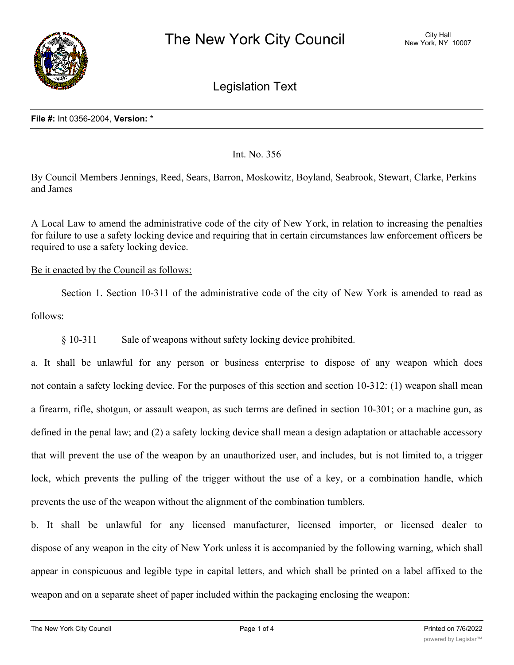

Legislation Text

Int. No. 356

By Council Members Jennings, Reed, Sears, Barron, Moskowitz, Boyland, Seabrook, Stewart, Clarke, Perkins and James

A Local Law to amend the administrative code of the city of New York, in relation to increasing the penalties for failure to use a safety locking device and requiring that in certain circumstances law enforcement officers be required to use a safety locking device.

Be it enacted by the Council as follows:

Section 1. Section 10-311 of the administrative code of the city of New York is amended to read as follows:

§ 10-311 Sale of weapons without safety locking device prohibited.

a. It shall be unlawful for any person or business enterprise to dispose of any weapon which does not contain a safety locking device. For the purposes of this section and section 10-312: (1) weapon shall mean a firearm, rifle, shotgun, or assault weapon, as such terms are defined in section 10-301; or a machine gun, as defined in the penal law; and (2) a safety locking device shall mean a design adaptation or attachable accessory that will prevent the use of the weapon by an unauthorized user, and includes, but is not limited to, a trigger lock, which prevents the pulling of the trigger without the use of a key, or a combination handle, which prevents the use of the weapon without the alignment of the combination tumblers.

b. It shall be unlawful for any licensed manufacturer, licensed importer, or licensed dealer to dispose of any weapon in the city of New York unless it is accompanied by the following warning, which shall appear in conspicuous and legible type in capital letters, and which shall be printed on a label affixed to the weapon and on a separate sheet of paper included within the packaging enclosing the weapon:

 $\overline{\phantom{a}}$  The USE OF A LOCKING DEVICE OR SAFETY LOCKING DEVICE OR SAFETY LOCKING DEVICE OR SAFETY LOCKING DEVICE OR SAFETY LOCKING DEVICE OR SAFETY LOCKING DEVICE OR SAFETY LOCKING DEVICE OR SAFETY LOCK IS ONLY ONE ASPEC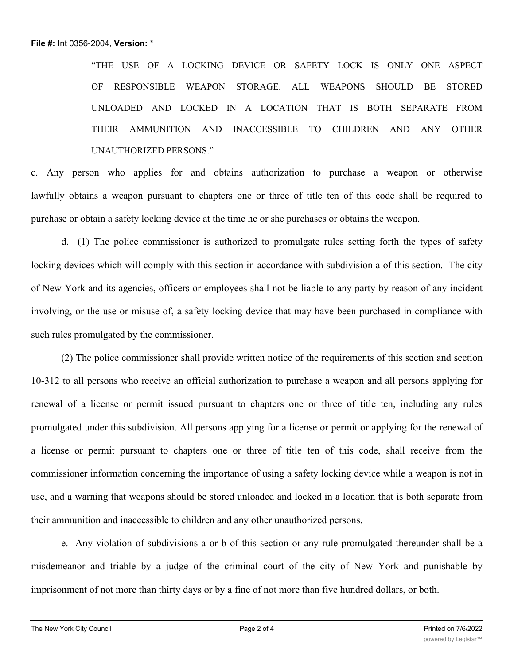"THE USE OF A LOCKING DEVICE OR SAFETY LOCK IS ONLY ONE ASPECT OF RESPONSIBLE WEAPON STORAGE. ALL WEAPONS SHOULD BE STORED UNLOADED AND LOCKED IN A LOCATION THAT IS BOTH SEPARATE FROM THEIR AMMUNITION AND INACCESSIBLE TO CHILDREN AND ANY OTHER UNAUTHORIZED PERSONS."

c. Any person who applies for and obtains authorization to purchase a weapon or otherwise lawfully obtains a weapon pursuant to chapters one or three of title ten of this code shall be required to purchase or obtain a safety locking device at the time he or she purchases or obtains the weapon.

d. (1) The police commissioner is authorized to promulgate rules setting forth the types of safety locking devices which will comply with this section in accordance with subdivision a of this section. The city of New York and its agencies, officers or employees shall not be liable to any party by reason of any incident involving, or the use or misuse of, a safety locking device that may have been purchased in compliance with such rules promulgated by the commissioner.

(2) The police commissioner shall provide written notice of the requirements of this section and section 10-312 to all persons who receive an official authorization to purchase a weapon and all persons applying for renewal of a license or permit issued pursuant to chapters one or three of title ten, including any rules promulgated under this subdivision. All persons applying for a license or permit or applying for the renewal of a license or permit pursuant to chapters one or three of title ten of this code, shall receive from the commissioner information concerning the importance of using a safety locking device while a weapon is not in use, and a warning that weapons should be stored unloaded and locked in a location that is both separate from their ammunition and inaccessible to children and any other unauthorized persons.

e. Any violation of subdivisions a or b of this section or any rule promulgated thereunder shall be a misdemeanor and triable by a judge of the criminal court of the city of New York and punishable by imprisonment of not more than thirty days or by a fine of not more than five hundred dollars, or both.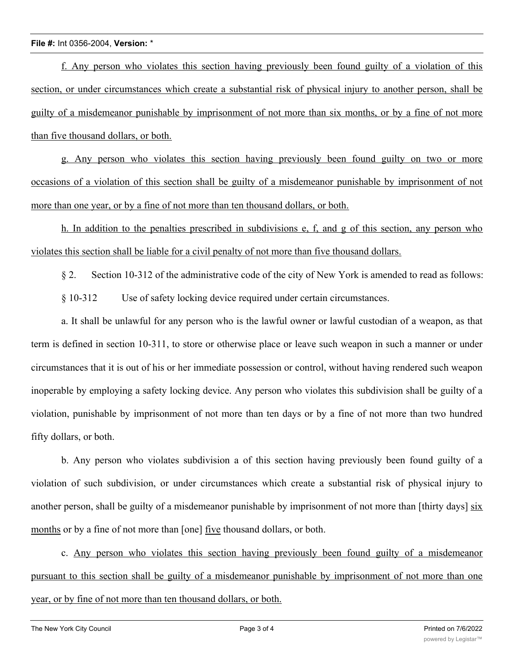## **File #:** Int 0356-2004, **Version:** \*

f. Any person who violates this section having previously been found guilty of a violation of this section, or under circumstances which create a substantial risk of physical injury to another person, shall be guilty of a misdemeanor punishable by imprisonment of not more than six months, or by a fine of not more than five thousand dollars, or both.

g. Any person who violates this section having previously been found guilty on two or more occasions of a violation of this section shall be guilty of a misdemeanor punishable by imprisonment of not more than one year, or by a fine of not more than ten thousand dollars, or both.

h. In addition to the penalties prescribed in subdivisions e, f, and g of this section, any person who violates this section shall be liable for a civil penalty of not more than five thousand dollars.

§ 2. Section 10-312 of the administrative code of the city of New York is amended to read as follows:

§ 10-312 Use of safety locking device required under certain circumstances.

a. It shall be unlawful for any person who is the lawful owner or lawful custodian of a weapon, as that term is defined in section 10-311, to store or otherwise place or leave such weapon in such a manner or under circumstances that it is out of his or her immediate possession or control, without having rendered such weapon inoperable by employing a safety locking device. Any person who violates this subdivision shall be guilty of a violation, punishable by imprisonment of not more than ten days or by a fine of not more than two hundred fifty dollars, or both.

b. Any person who violates subdivision a of this section having previously been found guilty of a violation of such subdivision, or under circumstances which create a substantial risk of physical injury to another person, shall be guilty of a misdemeanor punishable by imprisonment of not more than [thirty days] six months or by a fine of not more than [one] five thousand dollars, or both.

c. Any person who violates this section having previously been found guilty of a misdemeanor pursuant to this section shall be guilty of a misdemeanor punishable by imprisonment of not more than one year, or by fine of not more than ten thousand dollars, or both.